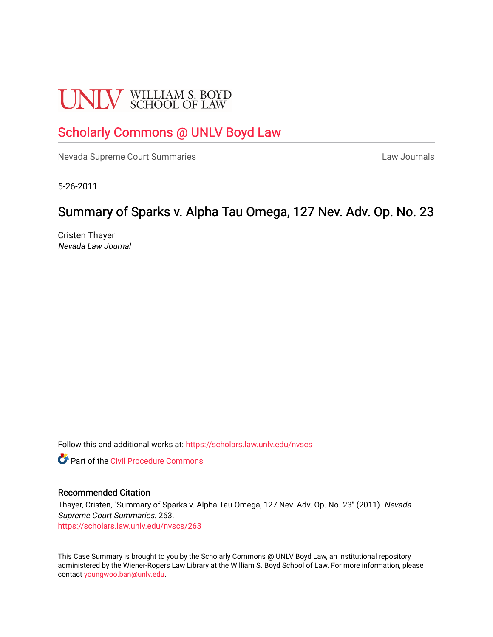# **UNLV** SCHOOL OF LAW

# [Scholarly Commons @ UNLV Boyd Law](https://scholars.law.unlv.edu/)

[Nevada Supreme Court Summaries](https://scholars.law.unlv.edu/nvscs) **Law Journals** Law Journals

5-26-2011

# Summary of Sparks v. Alpha Tau Omega, 127 Nev. Adv. Op. No. 23

Cristen Thayer Nevada Law Journal

Follow this and additional works at: [https://scholars.law.unlv.edu/nvscs](https://scholars.law.unlv.edu/nvscs?utm_source=scholars.law.unlv.edu%2Fnvscs%2F263&utm_medium=PDF&utm_campaign=PDFCoverPages)

**C** Part of the Civil Procedure Commons

#### Recommended Citation

Thayer, Cristen, "Summary of Sparks v. Alpha Tau Omega, 127 Nev. Adv. Op. No. 23" (2011). Nevada Supreme Court Summaries. 263. [https://scholars.law.unlv.edu/nvscs/263](https://scholars.law.unlv.edu/nvscs/263?utm_source=scholars.law.unlv.edu%2Fnvscs%2F263&utm_medium=PDF&utm_campaign=PDFCoverPages)

This Case Summary is brought to you by the Scholarly Commons @ UNLV Boyd Law, an institutional repository administered by the Wiener-Rogers Law Library at the William S. Boyd School of Law. For more information, please contact [youngwoo.ban@unlv.edu](mailto:youngwoo.ban@unlv.edu).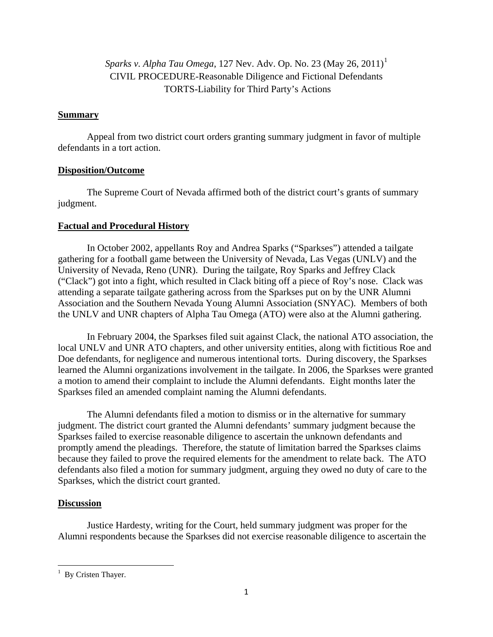*Sparks v. Alpha Tau Omega*, [1](#page-1-0)27 Nev. Adv. Op. No. 23 (May 26, 2011)<sup>1</sup> CIVIL PROCEDURE-Reasonable Diligence and Fictional Defendants TORTS-Liability for Third Party's Actions

## **Summary**

 Appeal from two district court orders granting summary judgment in favor of multiple defendants in a tort action.

# **Disposition/Outcome**

 The Supreme Court of Nevada affirmed both of the district court's grants of summary judgment.

# **Factual and Procedural History**

 In October 2002, appellants Roy and Andrea Sparks ("Sparkses") attended a tailgate gathering for a football game between the University of Nevada, Las Vegas (UNLV) and the University of Nevada, Reno (UNR). During the tailgate, Roy Sparks and Jeffrey Clack ("Clack") got into a fight, which resulted in Clack biting off a piece of Roy's nose. Clack was attending a separate tailgate gathering across from the Sparkses put on by the UNR Alumni Association and the Southern Nevada Young Alumni Association (SNYAC). Members of both the UNLV and UNR chapters of Alpha Tau Omega (ATO) were also at the Alumni gathering.

In February 2004, the Sparkses filed suit against Clack, the national ATO association, the local UNLV and UNR ATO chapters, and other university entities, along with fictitious Roe and Doe defendants, for negligence and numerous intentional torts. During discovery, the Sparkses learned the Alumni organizations involvement in the tailgate. In 2006, the Sparkses were granted a motion to amend their complaint to include the Alumni defendants. Eight months later the Sparkses filed an amended complaint naming the Alumni defendants.

 The Alumni defendants filed a motion to dismiss or in the alternative for summary judgment. The district court granted the Alumni defendants' summary judgment because the Sparkses failed to exercise reasonable diligence to ascertain the unknown defendants and promptly amend the pleadings. Therefore, the statute of limitation barred the Sparkses claims because they failed to prove the required elements for the amendment to relate back. The ATO defendants also filed a motion for summary judgment, arguing they owed no duty of care to the Sparkses, which the district court granted.

# **Discussion**

 Justice Hardesty, writing for the Court, held summary judgment was proper for the Alumni respondents because the Sparkses did not exercise reasonable diligence to ascertain the

<span id="page-1-0"></span> <sup>1</sup> By Cristen Thayer.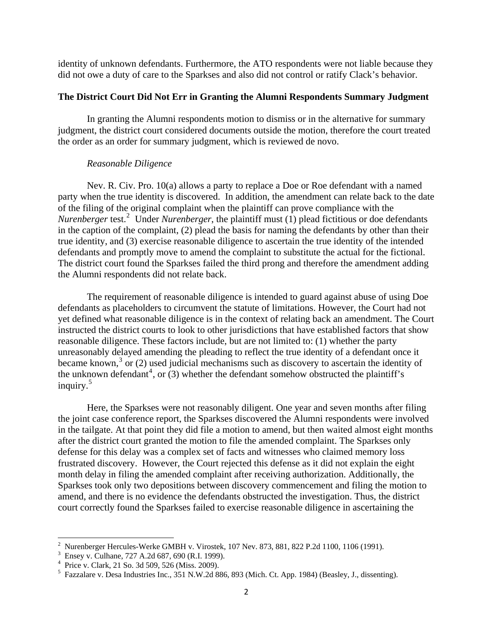identity of unknown defendants. Furthermore, the ATO respondents were not liable because they did not owe a duty of care to the Sparkses and also did not control or ratify Clack's behavior.

#### **The District Court Did Not Err in Granting the Alumni Respondents Summary Judgment**

In granting the Alumni respondents motion to dismiss or in the alternative for summary judgment, the district court considered documents outside the motion, therefore the court treated the order as an order for summary judgment, which is reviewed de novo.

#### *Reasonable Diligence*

Nev. R. Civ. Pro. 10(a) allows a party to replace a Doe or Roe defendant with a named party when the true identity is discovered. In addition, the amendment can relate back to the date of the filing of the original complaint when the plaintiff can prove compliance with the *Nurenberger* test.<sup>[2](#page-2-0)</sup> Under *Nurenberger*, the plaintiff must (1) plead fictitious or doe defendants in the caption of the complaint, (2) plead the basis for naming the defendants by other than their true identity, and (3) exercise reasonable diligence to ascertain the true identity of the intended defendants and promptly move to amend the complaint to substitute the actual for the fictional. The district court found the Sparkses failed the third prong and therefore the amendment adding the Alumni respondents did not relate back.

 The requirement of reasonable diligence is intended to guard against abuse of using Doe defendants as placeholders to circumvent the statute of limitations. However, the Court had not yet defined what reasonable diligence is in the context of relating back an amendment. The Court instructed the district courts to look to other jurisdictions that have established factors that show reasonable diligence. These factors include, but are not limited to: (1) whether the party unreasonably delayed amending the pleading to reflect the true identity of a defendant once it became known,<sup>[3](#page-2-1)</sup> or (2) used judicial mechanisms such as discovery to ascertain the identity of the unknown defendant<sup>[4](#page-2-2)</sup>, or  $(3)$  whether the defendant somehow obstructed the plaintiff's inquiry.<sup>[5](#page-2-3)</sup>

 Here, the Sparkses were not reasonably diligent. One year and seven months after filing the joint case conference report, the Sparkses discovered the Alumni respondents were involved in the tailgate. At that point they did file a motion to amend, but then waited almost eight months after the district court granted the motion to file the amended complaint. The Sparkses only defense for this delay was a complex set of facts and witnesses who claimed memory loss frustrated discovery. However, the Court rejected this defense as it did not explain the eight month delay in filing the amended complaint after receiving authorization. Additionally, the Sparkses took only two depositions between discovery commencement and filing the motion to amend, and there is no evidence the defendants obstructed the investigation. Thus, the district court correctly found the Sparkses failed to exercise reasonable diligence in ascertaining the

 2 Nurenberger Hercules-Werke GMBH v. Virostek, 107 Nev. 873, 881, 822 P.2d 1100, 1106 (1991).

<span id="page-2-1"></span><span id="page-2-0"></span><sup>3</sup> Ensey v. Culhane, 727 A.2d 687, 690 (R.I. 1999).

<span id="page-2-2"></span><sup>4</sup> Price v. Clark, 21 So. 3d 509, 526 (Miss. 2009).

<span id="page-2-3"></span><sup>&</sup>lt;sup>5</sup> Fazzalare v. Desa Industries Inc., 351 N.W.2d 886, 893 (Mich. Ct. App. 1984) (Beasley, J., dissenting).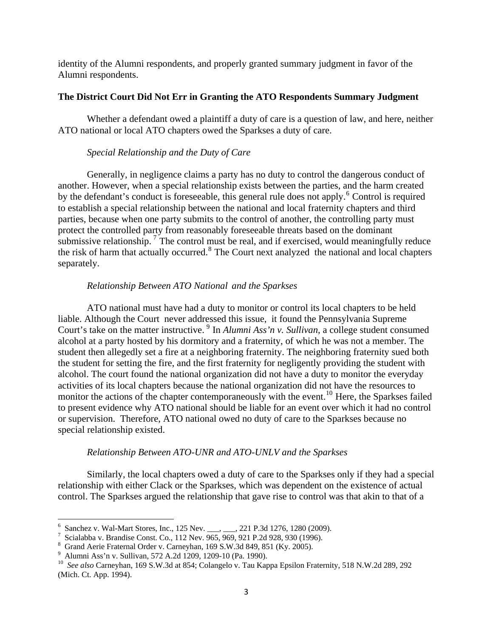identity of the Alumni respondents, and properly granted summary judgment in favor of the Alumni respondents.

## **The District Court Did Not Err in Granting the ATO Respondents Summary Judgment**

Whether a defendant owed a plaintiff a duty of care is a question of law, and here, neither ATO national or local ATO chapters owed the Sparkses a duty of care.

#### *Special Relationship and the Duty of Care*

 Generally, in negligence claims a party has no duty to control the dangerous conduct of another. However, when a special relationship exists between the parties, and the harm created by the defendant's conduct is foreseeable, this general rule does not apply.<sup>[6](#page-3-0)</sup> Control is required to establish a special relationship between the national and local fraternity chapters and thir d parties, because when one party submits to the control of another, the controlling party must protect the controlled party from reasonably foreseeable threats based on the dominant submissive relationship.<sup>[7](#page-3-1)</sup> The control must be real, and if exercised, would meaningfully reduce the risk of harm that actually occurred.<sup>[8](#page-3-2)</sup> The Court next analyzed the national and local chapters separately.

#### *Relationship Between ATO National and the Sparkses*

 ATO national must have had a duty to monitor or control its local chapters to be held liable. Although the Court never addressed this issue, it found the Pennsylvania Supreme Court's take on the matter instructive. <sup>[9](#page-3-3)</sup> In *Alumni Ass'n v. Sullivan*, a college student consumed alcohol at a party hosted by his dormitory and a fraternity, of which he was not a member. The student then allegedly set a fire at a neighboring fraternity. The neighboring fraternity sued both the student for setting the fire, and the first fraternity for negligently providing the student with alcohol. The court found the national organization did not have a duty to monitor the everyday activities of its local chapters because the national organization did not have the resources to monitor the actions of the chapter contemporaneously with the event.<sup>[10](#page-3-4)</sup> Here, the Sparkses failed to present evidence why ATO national should be liable for an event over which it had no control or supervision. Therefore, ATO national owed no duty of care to the Sparkses because no special relationship existed.

#### *Relationship Between ATO-UNR and ATO-UNLV and the Sparkses*

 Similarly, the local chapters owed a duty of care to the Sparkses only if they had a special relationship with either Clack or the Sparkses, which was dependent on the existence of actual control. The Sparkses argued the relationship that gave rise to control was that akin to that of a

<span id="page-3-0"></span><sup>&</sup>lt;sup>6</sup> Sanchez v. Wal-Mart Stores, Inc., 125 Nev. \_\_\_, \_\_, 221 P.3d 1276, 1280 (2009).

<span id="page-3-1"></span>Scialabba v. Brandise Const. Co., 112 Nev. 965, 969, 921 P.2d 928, 930 (1996).

<span id="page-3-2"></span><sup>8</sup> Grand Aerie Fraternal Order v. Carneyhan, 169 S.W.3d 849, 851 (Ky. 2005).

<span id="page-3-3"></span><sup>9</sup> Alumni Ass'n v. Sullivan, 572 A.2d 1209, 1209-10 (Pa. 1990).

<span id="page-3-4"></span><sup>10</sup> *See also* Carneyhan, 169 S.W.3d at 854; Colangelo v. Tau Kappa Epsilon Fraternity, 518 N.W.2d 289, 292 (Mich. Ct. App. 1994).